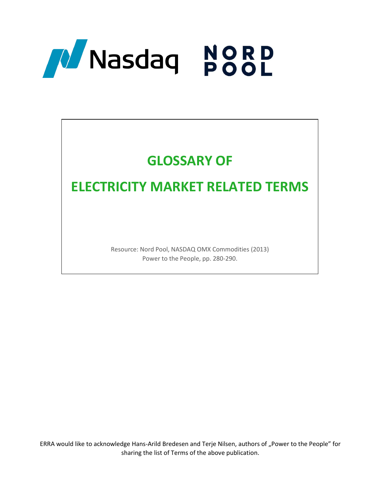

# **GLOSSARY OF**

# **ELECTRICITY MARKET RELATED TERMS**

Resource: Nord Pool, NASDAQ OMX Commodities (2013) Power to the People, pp. 280-290.

ERRA would like to acknowledge Hans-Arild Bredesen and Terje Nilsen, authors of "Power to the People" for sharing the list of Terms of the above publication.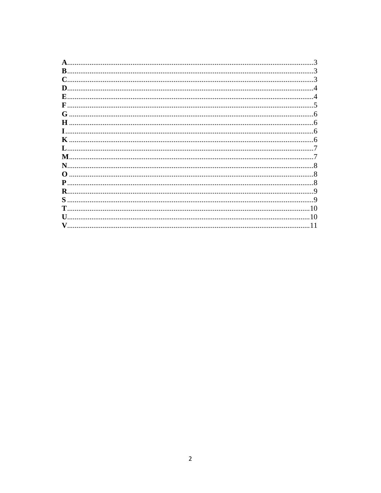| $\bf{B}$ .     |                 |
|----------------|-----------------|
| $\mathbf C$    |                 |
| D.             |                 |
| E              |                 |
| $\mathbf{F}$ . |                 |
| G              |                 |
|                |                 |
|                |                 |
| K              |                 |
| $\mathbf{L}$ . |                 |
| M              |                 |
| N.             |                 |
| $\Omega$       |                 |
|                |                 |
| $\mathbf R$ .  |                 |
|                | $\mathbf Q$     |
|                |                 |
|                |                 |
| $\mathbf{U}$   |                 |
|                | $\overline{11}$ |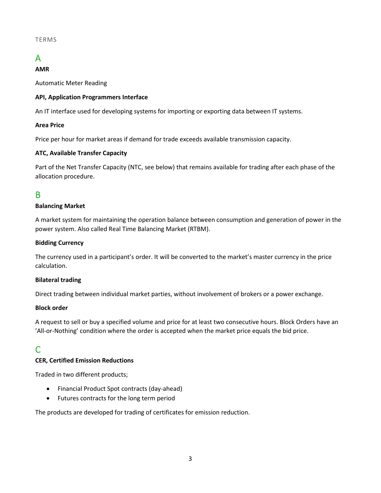#### TERMS

# <span id="page-2-0"></span>A

#### **AMR**

Automatic Meter Reading

#### **API, Application Programmers Interface**

An IT interface used for developing systems for importing or exporting data between IT systems.

#### **Area Price**

Price per hour for market areas if demand for trade exceeds available transmission capacity.

#### **ATC, Available Transfer Capacity**

Part of the Net Transfer Capacity (NTC, see below) that remains available for trading after each phase of the allocation procedure.

## <span id="page-2-1"></span>B

#### **Balancing Market**

A market system for maintaining the operation balance between consumption and generation of power in the power system. Also called Real Time Balancing Market (RTBM).

#### **Bidding Currency**

The currency used in a participant's order. It will be converted to the market's master currency in the price calculation.

#### **Bilateral trading**

Direct trading between individual market parties, without involvement of brokers or a power exchange.

#### **Block order**

A request to sell or buy a specified volume and price for at least two consecutive hours. Block Orders have an 'All-or-Nothing' condition where the order is accepted when the market price equals the bid price.

# <span id="page-2-2"></span>C

#### **CER, Certified Emission Reductions**

Traded in two different products;

- Financial Product Spot contracts (day-ahead)
- Futures contracts for the long term period

The products are developed for trading of certificates for emission reduction.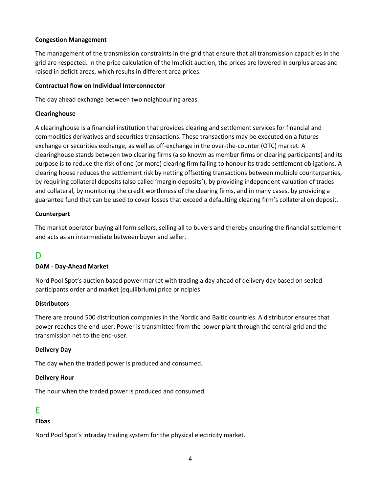#### **Congestion Management**

The management of the transmission constraints in the grid that ensure that all transmission capacities in the grid are respected. In the price calculation of the Implicit auction, the prices are lowered in surplus areas and raised in deficit areas, which results in different area prices.

#### **Contractual flow on Individual Interconnector**

The day ahead exchange between two neighbouring areas.

#### **Clearinghouse**

A clearinghouse is a financial institution that provides clearing and settlement services for financial and commodities derivatives and securities transactions. These transactions may be executed on a futures exchange or securities exchange, as well as off-exchange in the over-the-counter (OTC) market. A clearinghouse stands between two clearing firms (also known as member firms or clearing participants) and its purpose is to reduce the risk of one (or more) clearing firm failing to honour its trade settlement obligations. A clearing house reduces the settlement risk by netting offsetting transactions between multiple counterparties, by requiring collateral deposits (also called 'margin deposits'), by providing independent valuation of trades and collateral, by monitoring the credit worthiness of the clearing firms, and in many cases, by providing a guarantee fund that can be used to cover losses that exceed a defaulting clearing firm's collateral on deposit.

#### **Counterpart**

The market operator buying all form sellers, selling all to buyers and thereby ensuring the financial settlement and acts as an intermediate between buyer and seller.

# <span id="page-3-0"></span>D

#### **DAM - Day-Ahead Market**

Nord Pool Spot's auction based power market with trading a day ahead of delivery day based on sealed participants order and market (equilibrium) price principles.

#### **Distributors**

There are around 500 distribution companies in the Nordic and Baltic countries. A distributor ensures that power reaches the end-user. Power is transmitted from the power plant through the central grid and the transmission net to the end-user.

#### **Delivery Day**

The day when the traded power is produced and consumed.

#### **Delivery Hour**

The hour when the traded power is produced and consumed.

## <span id="page-3-1"></span>E

#### **Elbas**

Nord Pool Spot's intraday trading system for the physical electricity market.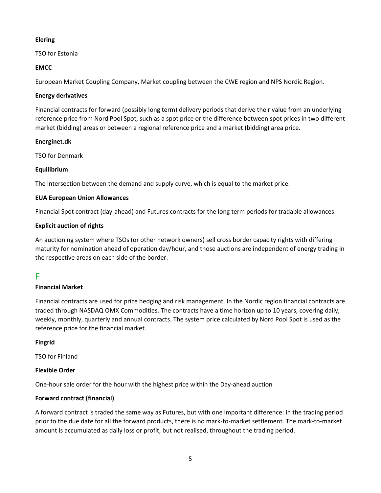#### **Elering**

TSO for Estonia

#### **EMCC**

European Market Coupling Company, Market coupling between the CWE region and NPS Nordic Region.

#### **Energy derivatives**

Financial contracts for forward (possibly long term) delivery periods that derive their value from an underlying reference price from Nord Pool Spot, such as a spot price or the difference between spot prices in two different market (bidding) areas or between a regional reference price and a market (bidding) area price.

#### **Energinet.dk**

TSO for Denmark

#### **Equilibrium**

The intersection between the demand and supply curve, which is equal to the market price.

#### **EUA European Union Allowances**

Financial Spot contract (day-ahead) and Futures contracts for the long term periods for tradable allowances.

#### **Explicit auction of rights**

An auctioning system where TSOs (or other network owners) sell cross border capacity rights with differing maturity for nomination ahead of operation day/hour, and those auctions are independent of energy trading in the respective areas on each side of the border.

# <span id="page-4-0"></span>F

#### **Financial Market**

Financial contracts are used for price hedging and risk management. In the Nordic region financial contracts are traded through NASDAQ OMX Commodities. The contracts have a time horizon up to 10 years, covering daily, weekly, monthly, quarterly and annual contracts. The system price calculated by Nord Pool Spot is used as the reference price for the financial market.

#### **Fingrid**

TSO for Finland

#### **Flexible Order**

One-hour sale order for the hour with the highest price within the Day-ahead auction

#### **Forward contract (financial)**

A forward contract is traded the same way as Futures, but with one important difference: In the trading period prior to the due date for all the forward products, there is no mark-to-market settlement. The mark-to-market amount is accumulated as daily loss or profit, but not realised, throughout the trading period.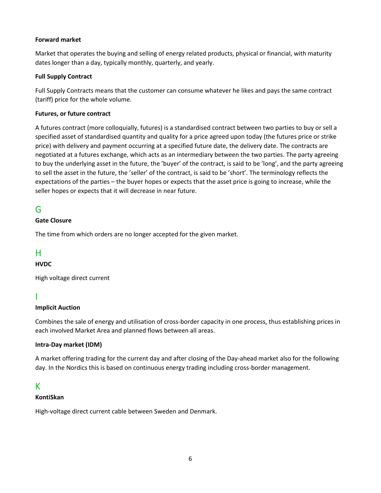#### **Forward market**

Market that operates the buying and selling of energy related products, physical or financial, with maturity dates longer than a day, typically monthly, quarterly, and yearly.

#### **Full Supply Contract**

Full Supply Contracts means that the customer can consume whatever he likes and pays the same contract (tariff) price for the whole volume.

#### **Futures, or future contract**

A futures contract (more colloquially, futures) is a standardised contract between two parties to buy or sell a specified asset of standardised quantity and quality for a price agreed upon today (the futures price or strike price) with delivery and payment occurring at a specified future date, the delivery date. The contracts are negotiated at a futures exchange, which acts as an intermediary between the two parties. The party agreeing to buy the underlying asset in the future, the 'buyer' of the contract, is said to be 'long', and the party agreeing to sell the asset in the future, the 'seller' of the contract, is said to be 'short'. The terminology reflects the expectations of the parties – the buyer hopes or expects that the asset price is going to increase, while the seller hopes or expects that it will decrease in near future.

# <span id="page-5-0"></span>G

#### **Gate Closure**

The time from which orders are no longer accepted for the given market.

# <span id="page-5-1"></span>H

## **HVDC**

High voltage direct current

## <span id="page-5-2"></span>I

#### **Implicit Auction**

Combines the sale of energy and utilisation of cross-border capacity in one process, thus establishing prices in each involved Market Area and planned flows between all areas.

#### **Intra-Day market (IDM)**

A market offering trading for the current day and after closing of the Day-ahead market also for the following day. In the Nordics this is based on continuous energy trading including cross-border management.

## <span id="page-5-3"></span>K

#### **KontiSkan**

High-voltage direct current cable between Sweden and Denmark.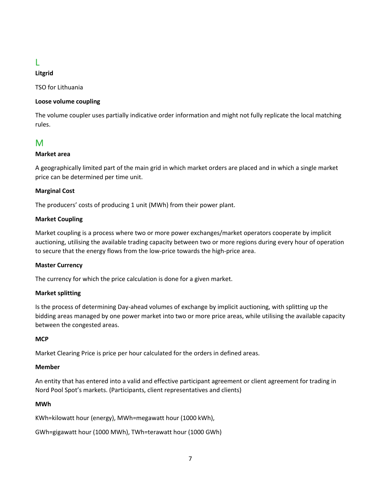# <span id="page-6-0"></span>L

### **Litgrid**

TSO for Lithuania

#### **Loose volume coupling**

The volume coupler uses partially indicative order information and might not fully replicate the local matching rules.

# <span id="page-6-1"></span>M

#### **Market area**

A geographically limited part of the main grid in which market orders are placed and in which a single market price can be determined per time unit.

#### **Marginal Cost**

The producers' costs of producing 1 unit (MWh) from their power plant.

#### **Market Coupling**

Market coupling is a process where two or more power exchanges/market operators cooperate by implicit auctioning, utilising the available trading capacity between two or more regions during every hour of operation to secure that the energy flows from the low-price towards the high-price area.

#### **Master Currency**

The currency for which the price calculation is done for a given market.

#### **Market splitting**

Is the process of determining Day-ahead volumes of exchange by implicit auctioning, with splitting up the bidding areas managed by one power market into two or more price areas, while utilising the available capacity between the congested areas.

#### **MCP**

Market Clearing Price is price per hour calculated for the orders in defined areas.

#### **Member**

An entity that has entered into a valid and effective participant agreement or client agreement for trading in Nord Pool Spot's markets. (Participants, client representatives and clients)

#### **MWh**

KWh=kilowatt hour (energy), MWh=megawatt hour (1000 kWh),

GWh=gigawatt hour (1000 MWh), TWh=terawatt hour (1000 GWh)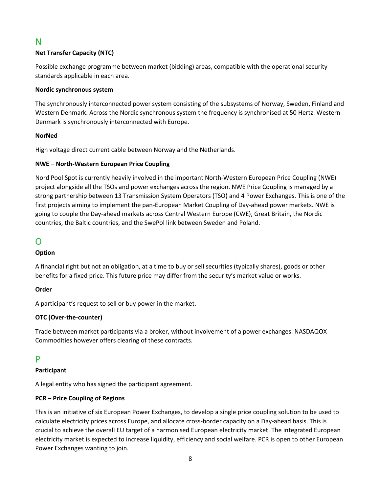# <span id="page-7-0"></span>N

### **Net Transfer Capacity (NTC)**

Possible exchange programme between market (bidding) areas, compatible with the operational security standards applicable in each area.

#### **Nordic synchronous system**

The synchronously interconnected power system consisting of the subsystems of Norway, Sweden, Finland and Western Denmark. Across the Nordic synchronous system the frequency is synchronised at 50 Hertz. Western Denmark is synchronously interconnected with Europe.

#### **NorNed**

High voltage direct current cable between Norway and the Netherlands.

#### **NWE – North-Western European Price Coupling**

Nord Pool Spot is currently heavily involved in the important North-Western European Price Coupling (NWE) project alongside all the TSOs and power exchanges across the region. NWE Price Coupling is managed by a strong partnership between 13 Transmission System Operators (TSO) and 4 Power Exchanges. This is one of the first projects aiming to implement the pan-European Market Coupling of Day-ahead power markets. NWE is going to couple the Day-ahead markets across Central Western Europe (CWE), Great Britain, the Nordic countries, the Baltic countries, and the SwePol link between Sweden and Poland.

# <span id="page-7-1"></span>O

#### **Option**

A financial right but not an obligation, at a time to buy or sell securities (typically shares), goods or other benefits for a fixed price. This future price may differ from the security's market value or works.

#### **Order**

A participant's request to sell or buy power in the market.

#### **OTC (Over-the-counter)**

Trade between market participants via a broker, without involvement of a power exchanges. NASDAQOX Commodities however offers clearing of these contracts.

## <span id="page-7-2"></span>P

#### **Participant**

A legal entity who has signed the participant agreement.

#### **PCR – Price Coupling of Regions**

This is an initiative of six European Power Exchanges, to develop a single price coupling solution to be used to calculate electricity prices across Europe, and allocate cross-border capacity on a Day-ahead basis. This is crucial to achieve the overall EU target of a harmonised European electricity market. The integrated European electricity market is expected to increase liquidity, efficiency and social welfare. PCR is open to other European Power Exchanges wanting to join.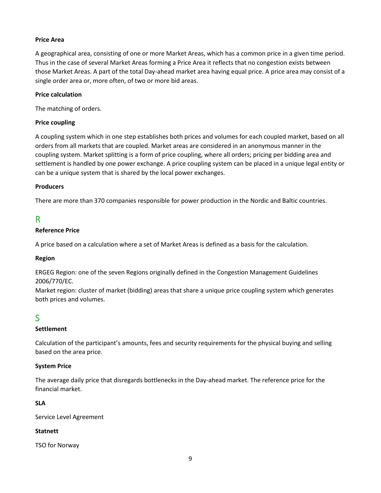#### **Price Area**

A geographical area, consisting of one or more Market Areas, which has a common price in a given time period. Thus in the case of several Market Areas forming a Price Area it reflects that no congestion exists between those Market Areas. A part of the total Day-ahead market area having equal price. A price area may consist of a single order area or, more often, of two or more bid areas.

#### **Price calculation**

The matching of orders.

#### **Price coupling**

A coupling system which in one step establishes both prices and volumes for each coupled market, based on all orders from all markets that are coupled. Market areas are considered in an anonymous manner in the coupling system. Market splitting is a form of price coupling, where all orders; pricing per bidding area and settlement is handled by one power exchange. A price coupling system can be placed in a unique legal entity or can be a unique system that is shared by the local power exchanges.

#### **Producers**

There are more than 370 companies responsible for power production in the Nordic and Baltic countries.

## <span id="page-8-0"></span>R

#### **Reference Price**

A price based on a calculation where a set of Market Areas is defined as a basis for the calculation.

#### **Region**

ERGEG Region: one of the seven Regions originally defined in the Congestion Management Guidelines 2006/770/EC.

Market region: cluster of market (bidding) areas that share a unique price coupling system which generates both prices and volumes.

# <span id="page-8-1"></span>S

#### **Settlement**

Calculation of the participant's amounts, fees and security requirements for the physical buying and selling based on the area price.

#### **System Price**

The average daily price that disregards bottlenecks in the Day-ahead market. The reference price for the financial market.

#### **SLA**

Service Level Agreement

#### **Statnett**

TSO for Norway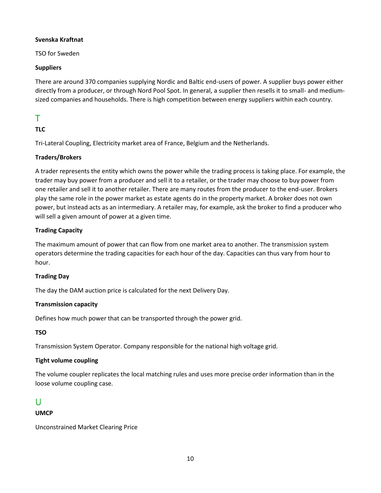#### **Svenska Kraftnat**

TSO for Sweden

#### **Suppliers**

There are around 370 companies supplying Nordic and Baltic end-users of power. A supplier buys power either directly from a producer, or through Nord Pool Spot. In general, a supplier then resells it to small- and mediumsized companies and households. There is high competition between energy suppliers within each country.

# <span id="page-9-0"></span>T

## **TLC**

Tri-Lateral Coupling, Electricity market area of France, Belgium and the Netherlands.

### **Traders/Brokers**

A trader represents the entity which owns the power while the trading process is taking place. For example, the trader may buy power from a producer and sell it to a retailer, or the trader may choose to buy power from one retailer and sell it to another retailer. There are many routes from the producer to the end-user. Brokers play the same role in the power market as estate agents do in the property market. A broker does not own power, but instead acts as an intermediary. A retailer may, for example, ask the broker to find a producer who will sell a given amount of power at a given time.

### **Trading Capacity**

The maximum amount of power that can flow from one market area to another. The transmission system operators determine the trading capacities for each hour of the day. Capacities can thus vary from hour to hour.

#### **Trading Day**

The day the DAM auction price is calculated for the next Delivery Day.

#### **Transmission capacity**

Defines how much power that can be transported through the power grid.

## **TSO**

Transmission System Operator. Company responsible for the national high voltage grid.

## **Tight volume coupling**

The volume coupler replicates the local matching rules and uses more precise order information than in the loose volume coupling case.

## <span id="page-9-1"></span>U

#### **UMCP**

Unconstrained Market Clearing Price